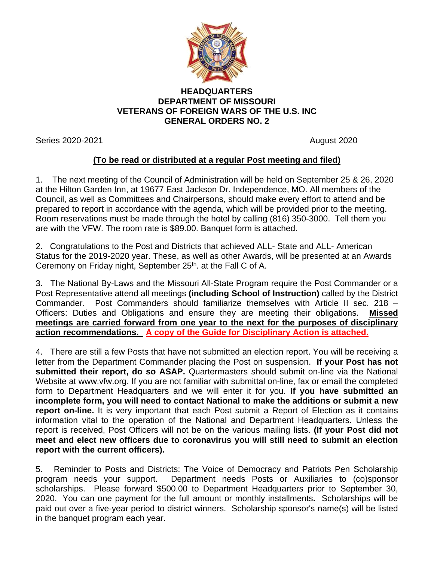

## **HEADQUARTERS DEPARTMENT OF MISSOURI VETERANS OF FOREIGN WARS OF THE U.S. INC GENERAL ORDERS NO. 2**

Series 2020-2021 August 2020

## **(To be read or distributed at a regular Post meeting and filed)**

1. The next meeting of the Council of Administration will be held on September 25 & 26, 2020 at the Hilton Garden Inn, at 19677 East Jackson Dr. Independence, MO. All members of the Council, as well as Committees and Chairpersons, should make every effort to attend and be prepared to report in accordance with the agenda, which will be provided prior to the meeting. Room reservations must be made through the hotel by calling (816) 350-3000. Tell them you are with the VFW. The room rate is \$89.00. Banquet form is attached.

2. Congratulations to the Post and Districts that achieved ALL- State and ALL- American Status for the 2019-2020 year. These, as well as other Awards, will be presented at an Awards Ceremony on Friday night, September 25<sup>th</sup>. at the Fall C of A.

3. The National By-Laws and the Missouri All-State Program require the Post Commander or a Post Representative attend all meetings **(including School of Instruction)** called by the District Commander. Post Commanders should familiarize themselves with Article II sec. 218 – Officers: Duties and Obligations and ensure they are meeting their obligations. **Missed meetings are carried forward from one year to the next for the purposes of disciplinary action recommendations. A copy of the Guide for Disciplinary Action is attached.**

4. There are still a few Posts that have not submitted an election report. You will be receiving a letter from the Department Commander placing the Post on suspension. **If your Post has not submitted their report, do so ASAP.** Quartermasters should submit on-line via the National Website at www.vfw.org. If you are not familiar with submittal on-line, fax or email the completed form to Department Headquarters and we will enter it for you. **If you have submitted an incomplete form, you will need to contact National to make the additions or submit a new report on-line.** It is very important that each Post submit a Report of Election as it contains information vital to the operation of the National and Department Headquarters. Unless the report is received, Post Officers will not be on the various mailing lists. **(If your Post did not meet and elect new officers due to coronavirus you will still need to submit an election report with the current officers).**

5. Reminder to Posts and Districts: The Voice of Democracy and Patriots Pen Scholarship program needs your support. Department needs Posts or Auxiliaries to (co)sponsor scholarships. Please forward \$500.00 to Department Headquarters prior to September 30, 2020. You can one payment for the full amount or monthly installments**.** Scholarships will be paid out over a five-year period to district winners. Scholarship sponsor's name(s) will be listed in the banquet program each year.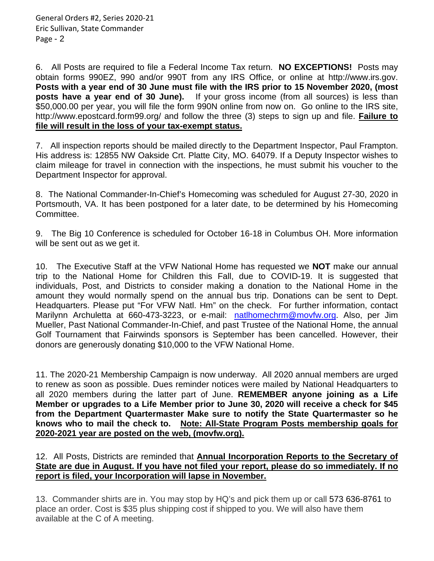6. All Posts are required to file a Federal Income Tax return. **NO EXCEPTIONS!** Posts may obtain forms 990EZ, 990 and/or 990T from any IRS Office, or online at http://www.irs.gov. **Posts with a year end of 30 June must file with the IRS prior to 15 November 2020, (most posts have a year end of 30 June).** If your gross income (from all sources) is less than \$50,000.00 per year, you will file the form 990N online from now on. Go online to the IRS site, http://www.epostcard.form99.org/ and follow the three (3) steps to sign up and file. **Failure to file will result in the loss of your tax-exempt status.**

7. All inspection reports should be mailed directly to the Department Inspector, Paul Frampton. His address is: 12855 NW Oakside Crt. Platte City, MO. 64079. If a Deputy Inspector wishes to claim mileage for travel in connection with the inspections, he must submit his voucher to the Department Inspector for approval.

8. The National Commander-In-Chief's Homecoming was scheduled for August 27-30, 2020 in Portsmouth, VA. It has been postponed for a later date, to be determined by his Homecoming Committee.

9. The Big 10 Conference is scheduled for October 16-18 in Columbus OH. More information will be sent out as we get it.

10. The Executive Staff at the VFW National Home has requested we **NOT** make our annual trip to the National Home for Children this Fall, due to COVID-19. It is suggested that individuals, Post, and Districts to consider making a donation to the National Home in the amount they would normally spend on the annual bus trip. Donations can be sent to Dept. Headquarters. Please put "For VFW Natl. Hm" on the check. For further information, contact Marilynn Archuletta at 660-473-3223, or e-mail: [natlhomechrm@movfw.org.](mailto:natlhomechrm@movfw.org) Also, per Jim Mueller, Past National Commander-In-Chief, and past Trustee of the National Home, the annual Golf Tournament that Fairwinds sponsors is September has been cancelled. However, their donors are generously donating \$10,000 to the VFW National Home.

11. The 2020-21 Membership Campaign is now underway. All 2020 annual members are urged to renew as soon as possible. Dues reminder notices were mailed by National Headquarters to all 2020 members during the latter part of June. **REMEMBER anyone joining as a Life Member or upgrades to a Life Member prior to June 30, 2020 will receive a check for \$45 from the Department Quartermaster Make sure to notify the State Quartermaster so he knows who to mail the check to. Note: All-State Program Posts membership goals for 2020-2021 year are posted on the web, (movfw.org).**

12. All Posts, Districts are reminded that **Annual Incorporation Reports to the Secretary of State are due in August. If you have not filed your report, please do so immediately. If no report is filed, your Incorporation will lapse in November.**

13. Commander shirts are in. You may stop by HQ's and pick them up or call 573 636-8761 to place an order. Cost is \$35 plus shipping cost if shipped to you. We will also have them available at the C of A meeting.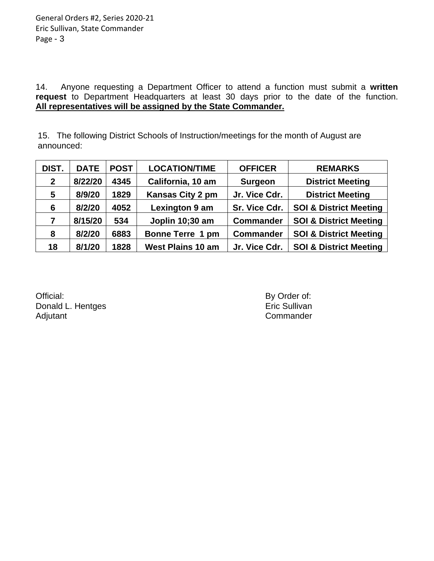14. Anyone requesting a Department Officer to attend a function must submit a **written request** to Department Headquarters at least 30 days prior to the date of the function. **All representatives will be assigned by the State Commander.** 

15. The following District Schools of Instruction/meetings for the month of August are announced:

| DIST.        | <b>DATE</b> | <b>POST</b> | <b>LOCATION/TIME</b>     | <b>OFFICER</b>   | <b>REMARKS</b>                    |
|--------------|-------------|-------------|--------------------------|------------------|-----------------------------------|
| $\mathbf{2}$ | 8/22/20     | 4345        | California, 10 am        | Surgeon          | <b>District Meeting</b>           |
| 5            | 8/9/20      | 1829        | <b>Kansas City 2 pm</b>  | Jr. Vice Cdr.    | <b>District Meeting</b>           |
| 6            | 8/2/20      | 4052        | Lexington 9 am           | Sr. Vice Cdr.    | <b>SOI &amp; District Meeting</b> |
| 7            | 8/15/20     | 534         | Joplin 10;30 am          | <b>Commander</b> | <b>SOI &amp; District Meeting</b> |
| 8            | 8/2/20      | 6883        | <b>Bonne Terre 1 pm</b>  | <b>Commander</b> | <b>SOI &amp; District Meeting</b> |
| 18           | 8/1/20      | 1828        | <b>West Plains 10 am</b> | Jr. Vice Cdr.    | <b>SOI &amp; District Meeting</b> |

Official: By Order of: Executive Security Assembly Order of: By Order of: Bonald L. Hentges Donald L. Hentges<br>Adjutant

Commander